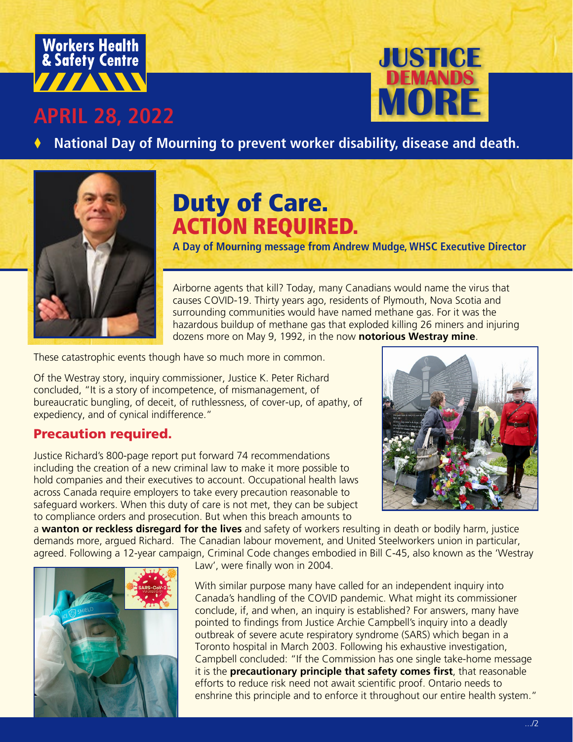

## **APRIL 28, 2022**



National Day of Mourning to prevent worker disability, disease and death.



# Duty of Care. ACTION REQUIRED.

**A Day of Mourning message from Andrew Mudge, WHSC Executive Director**

Airborne agents that kill? Today, many Canadians would name the virus that causes COVID-19. Thirty years ago, residents of Plymouth, Nova Scotia and surrounding communities would have named methane gas. For it was the hazardous buildup of methane gas that exploded killing 26 miners and injuring dozens more on May 9, 1992, in the now **notorious Westray mine**.

These catastrophic events though have so much more in common.

Of the Westray story, inquiry commissioner, Justice K. Peter Richard concluded, "It is a story of incompetence, of mismanagement, of bureaucratic bungling, of deceit, of ruthlessness, of cover-up, of apathy, of expediency, and of cynical indifference."

#### Precaution required.

Justice Richard's 800-page report put forward 74 recommendations including the creation of a new criminal law to make it more possible to hold companies and their executives to account. Occupational health laws across Canada require employers to take every precaution reasonable to safeguard workers. When this duty of care is not met, they can be subject to compliance orders and prosecution. But when this breach amounts to



a **wanton or reckless disregard for the lives** and safety of workers resulting in death or bodily harm, justice demands more, argued Richard. The Canadian labour movement, and United Steelworkers union in particular, agreed. Following a 12-year campaign, Criminal Code changes embodied in Bill C-45, also known as the 'Westray



Law', were finally won in 2004.

With similar purpose many have called for an independent inquiry into Canada's handling of the COVID pandemic. What might its commissioner conclude, if, and when, an inquiry is established? For answers, many have pointed to findings from Justice Archie Campbell's inquiry into a deadly outbreak of severe acute respiratory syndrome (SARS) which began in a Toronto hospital in March 2003. Following his exhaustive investigation, Campbell concluded: "If the Commission has one single take-home message it is the **precautionary principle that safety comes first**, that reasonable efforts to reduce risk need not await scientific proof. Ontario needs to enshrine this principle and to enforce it throughout our entire health system."